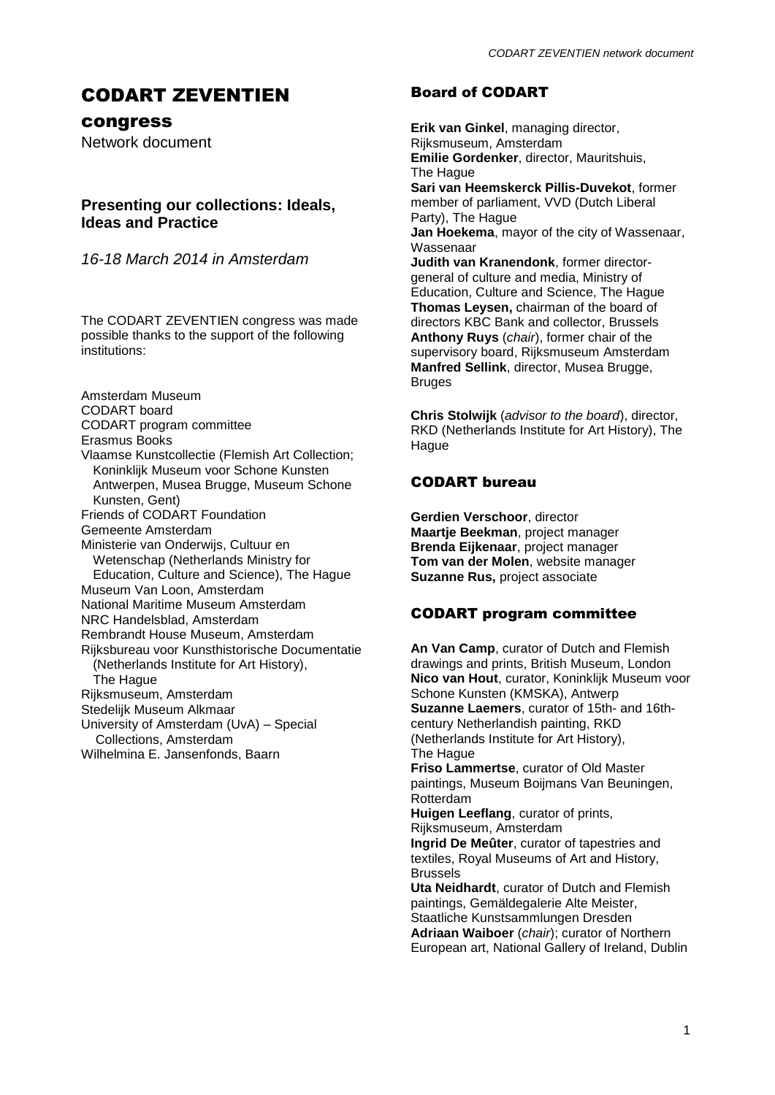# CODART ZEVENTIEN

congress

Network document

# **Presenting our collections: Ideals, Ideas and Practice**

*16-18 March 2014 in Amsterdam*

The CODART ZEVENTIEN congress was made possible thanks to the support of the following institutions:

Amsterdam Museum CODART board CODART program committee Erasmus Books Vlaamse Kunstcollectie (Flemish Art Collection; Koninklijk Museum voor Schone Kunsten Antwerpen, Musea Brugge, Museum Schone Kunsten, Gent) Friends of CODART Foundation Gemeente Amsterdam Ministerie van Onderwijs, Cultuur en Wetenschap (Netherlands Ministry for Education, Culture and Science), The Hague Museum Van Loon, Amsterdam National Maritime Museum Amsterdam NRC Handelsblad, Amsterdam Rembrandt House Museum, Amsterdam Rijksbureau voor Kunsthistorische Documentatie (Netherlands Institute for Art History), The Hague Rijksmuseum, Amsterdam Stedelijk Museum Alkmaar University of Amsterdam (UvA) – Special Collections, Amsterdam Wilhelmina E. Jansenfonds, Baarn

# Board of CODART

**Erik van Ginkel**, managing director, Rijksmuseum, Amsterdam **Emilie Gordenker**, director, Mauritshuis, The Hague **Sari van Heemskerck Pillis-Duvekot**, former member of parliament, VVD (Dutch Liberal Party), The Hague **Jan Hoekema**, mayor of the city of Wassenaar, Wassenaar **Judith van Kranendonk**, former directorgeneral of culture and media, Ministry of Education, Culture and Science, The Hague **Thomas Leysen,** chairman of the board of directors KBC Bank and collector, Brussels **Anthony Ruys** (*chair*), former chair of the supervisory board, Rijksmuseum Amsterdam **Manfred Sellink**, director, Musea Brugge, Bruges

**Chris Stolwijk** (*advisor to the board*), director, RKD (Netherlands Institute for Art History), The **Hague** 

# CODART bureau

**Gerdien Verschoor**, director **Maartje Beekman**, project manager **Brenda Eijkenaar**, project manager **Tom van der Molen**, website manager **Suzanne Rus,** project associate

# CODART program committee

**An Van Camp**, curator of Dutch and Flemish drawings and prints, British Museum, London **Nico van Hout**, curator, Koninklijk Museum voor Schone Kunsten (KMSKA), Antwerp **Suzanne Laemers**, curator of 15th- and 16thcentury Netherlandish painting, RKD (Netherlands Institute for Art History), The Hague **Friso Lammertse**, curator of Old Master paintings, Museum Boijmans Van Beuningen, Rotterdam **Huigen Leeflang**, curator of prints, Rijksmuseum, Amsterdam **Ingrid De Meûter**, curator of tapestries and textiles, Royal Museums of Art and History, Brussels

**Uta Neidhardt**, curator of Dutch and Flemish paintings, Gemäldegalerie Alte Meister, Staatliche Kunstsammlungen Dresden **Adriaan Waiboer** (*chair*); curator of Northern European art, National Gallery of Ireland, Dublin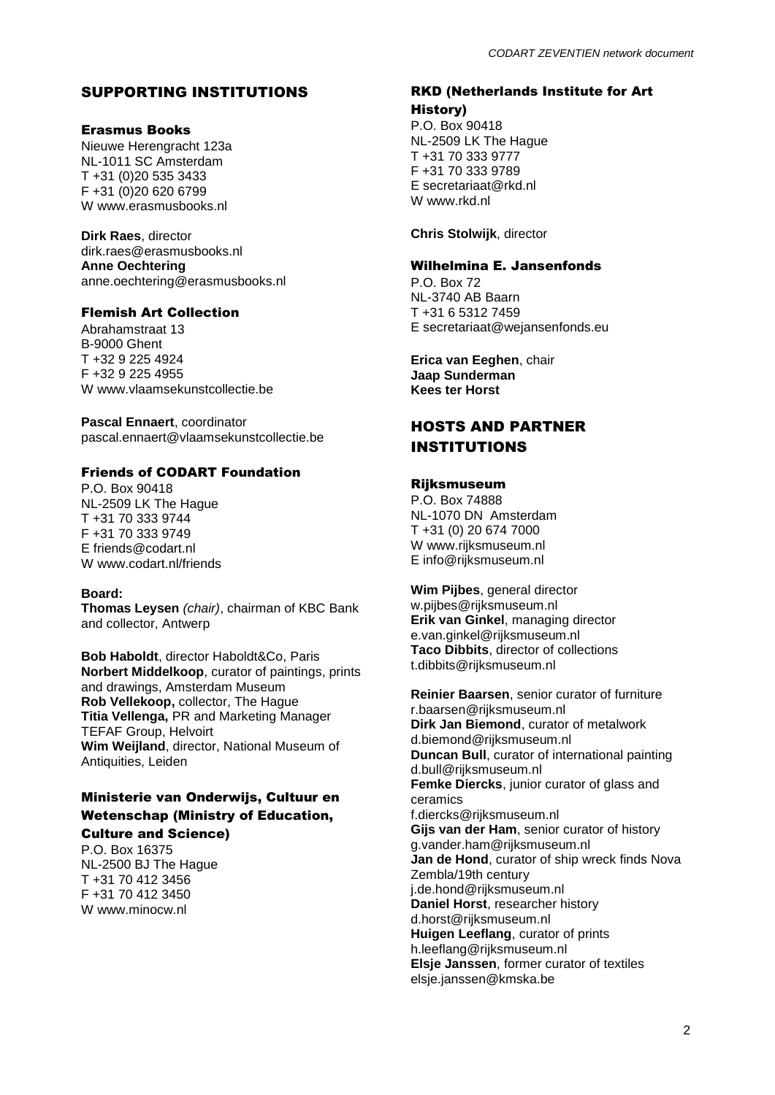# SUPPORTING INSTITUTIONS

## Erasmus Books

Nieuwe Herengracht 123a NL-1011 SC Amsterdam T +31 (0)20 535 3433 F +31 (0)20 620 6799 W www.erasmusbooks.nl

**Dirk Raes**, director dirk.raes@erasmusbooks.nl **Anne Oechtering** anne.oechtering@erasmusbooks.nl

# Flemish Art Collection

Abrahamstraat 13 B-9000 Ghent T +32 9 225 4924 F +32 9 225 4955 W www.vlaamsekunstcollectie.be

**Pascal Ennaert**, coordinator pascal.ennaert@vlaamsekunstcollectie.be

# Friends of CODART Foundation

P.O. Box 90418 NL-2509 LK The Hague T +31 70 333 9744 F +31 70 333 9749 E friends@codart.nl W www.codart.nl/friends

## **Board:**

**Thomas Leysen** *(chair)*, chairman of KBC Bank and collector, Antwerp

**Bob Haboldt**, director Haboldt&Co, Paris **Norbert Middelkoop**, curator of paintings, prints and drawings, Amsterdam Museum **Rob Vellekoop,** collector, The Hague **Titia Vellenga,** PR and Marketing Manager TEFAF Group, Helvoirt **Wim Weijland**, director, National Museum of Antiquities, Leiden

# Ministerie van Onderwijs, Cultuur en Wetenschap (Ministry of Education,

Culture and Science) P.O. Box 16375

NL-2500 BJ The Hague T +31 70 412 3456 F +31 70 412 3450 W www.minocw.nl

# RKD (Netherlands Institute for Art History)

P.O. Box 90418 NL-2509 LK The Hague T +31 70 333 9777 F +31 70 333 9789 E secretariaat@rkd.nl W www.rkd.nl

**Chris Stolwijk**, director

## Wilhelmina E. Jansenfonds

P.O. Box 72 NL-3740 AB Baarn T +31 6 5312 7459 E secretariaat@wejansenfonds.eu

**Erica van Eeghen**, chair **Jaap Sunderman Kees ter Horst**

# HOSTS AND PARTNER INSTITUTIONS

# Rijksmuseum

P.O. Box 74888 NL-1070 DN Amsterdam T +31 (0) 20 674 7000 W www.rijksmuseum.nl E info@rijksmuseum.nl

**Wim Pijbes**, general director w.pijbes@rijksmuseum.nl **Erik van Ginkel**, managing director e.van.ginkel@rijksmuseum.nl **Taco Dibbits**, director of collections t.dibbits@rijksmuseum.nl

**Reinier Baarsen**, senior curator of furniture r.baarsen@rijksmuseum.nl **Dirk Jan Biemond**, curator of metalwork d.biemond@rijksmuseum.nl **Duncan Bull**, curator of international painting d.bull@rijksmuseum.nl **Femke Diercks**, junior curator of glass and ceramics f.diercks@rijksmuseum.nl **Gijs van der Ham**, senior curator of history g.vander.ham@rijksmuseum.nl **Jan de Hond**, curator of ship wreck finds Nova Zembla/19th century j.de.hond@rijksmuseum.nl **Daniel Horst**, researcher history d.horst@rijksmuseum.nl **Huigen Leeflang**, curator of prints h.leeflang@rijksmuseum.nl **Elsje Janssen**, former curator of textiles elsje.janssen@kmska.be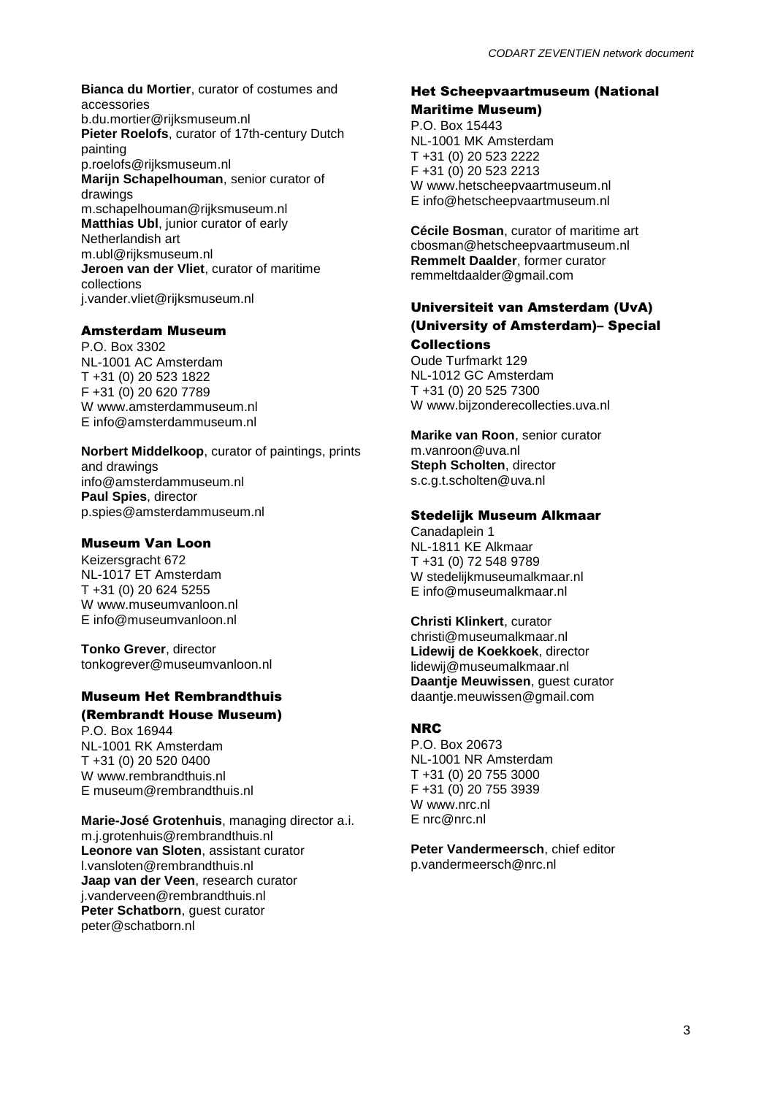**Bianca du Mortier**, curator of costumes and accessories b.du.mortier@rijksmuseum.nl **Pieter Roelofs**, curator of 17th-century Dutch painting p.roelofs@rijksmuseum.nl **Marijn Schapelhouman**, senior curator of drawings m.schapelhouman@rijksmuseum.nl **Matthias Ubl**, junior curator of early Netherlandish art m.ubl@rijksmuseum.nl **Jeroen van der Vliet**, curator of maritime collections j.vander.vliet@rijksmuseum.nl

# Amsterdam Museum

P.O. Box 3302 NL-1001 AC Amsterdam T +31 (0) 20 523 1822 F +31 (0) 20 620 7789 W www.amsterdammuseum.nl E info@amsterdammuseum.nl

**Norbert Middelkoop**, curator of paintings, prints and drawings info@amsterdammuseum.nl **Paul Spies**, director p.spies@amsterdammuseum.nl

# Museum Van Loon

Keizersgracht 672 NL-1017 ET Amsterdam T +31 (0) 20 624 5255 W www.museumvanloon.nl E info@museumvanloon.nl

**Tonko Grever**, director tonkogrever@museumvanloon.nl

# Museum Het Rembrandthuis (Rembrandt House Museum)

P.O. Box 16944 NL-1001 RK Amsterdam T +31 (0) 20 520 0400 W www.rembrandthuis.nl E museum@rembrandthuis.nl

**Marie-José Grotenhuis**, managing director a.i. m.j.grotenhuis@rembrandthuis.nl **Leonore van Sloten**, assistant curator l.vansloten@rembrandthuis.nl **Jaap van der Veen**, research curator j.vanderveen@rembrandthuis.nl **Peter Schatborn**, guest curator peter@schatborn.nl

# Het Scheepvaartmuseum (National

Maritime Museum) P.O. Box 15443 NL-1001 MK Amsterdam T +31 (0) 20 523 2222 F +31 (0) 20 523 2213 W www.hetscheepvaartmuseum.nl E info@hetscheepvaartmuseum.nl

**Cécile Bosman**, curator of maritime art cbosman@hetscheepvaartmuseum.nl **Remmelt Daalder**, former curator remmeltdaalder@gmail.com

# Universiteit van Amsterdam (UvA) (University of Amsterdam)– Special Collections

Oude Turfmarkt 129 NL-1012 GC Amsterdam T +31 (0) 20 525 7300 W www.bijzonderecollecties.uva.nl

**Marike van Roon**, senior curator m.vanroon@uva.nl **Steph Scholten**, director s.c.g.t.scholten@uva.nl

# Stedelijk Museum Alkmaar

Canadaplein 1 NL-1811 KE Alkmaar T +31 (0) 72 548 9789 W stedelijkmuseumalkmaar.nl E info@museumalkmaar.nl

## **Christi Klinkert**, curator

christi@museumalkmaar.nl **Lidewij de Koekkoek**, director lidewij@museumalkmaar.nl **Daantje Meuwissen**, guest curator daantje.meuwissen@gmail.com

# NRC

P.O. Box 20673 NL-1001 NR Amsterdam T +31 (0) 20 755 3000 F +31 (0) 20 755 3939 W www.nrc.nl E nrc@nrc.nl

**Peter Vandermeersch**, chief editor p.vandermeersch@nrc.nl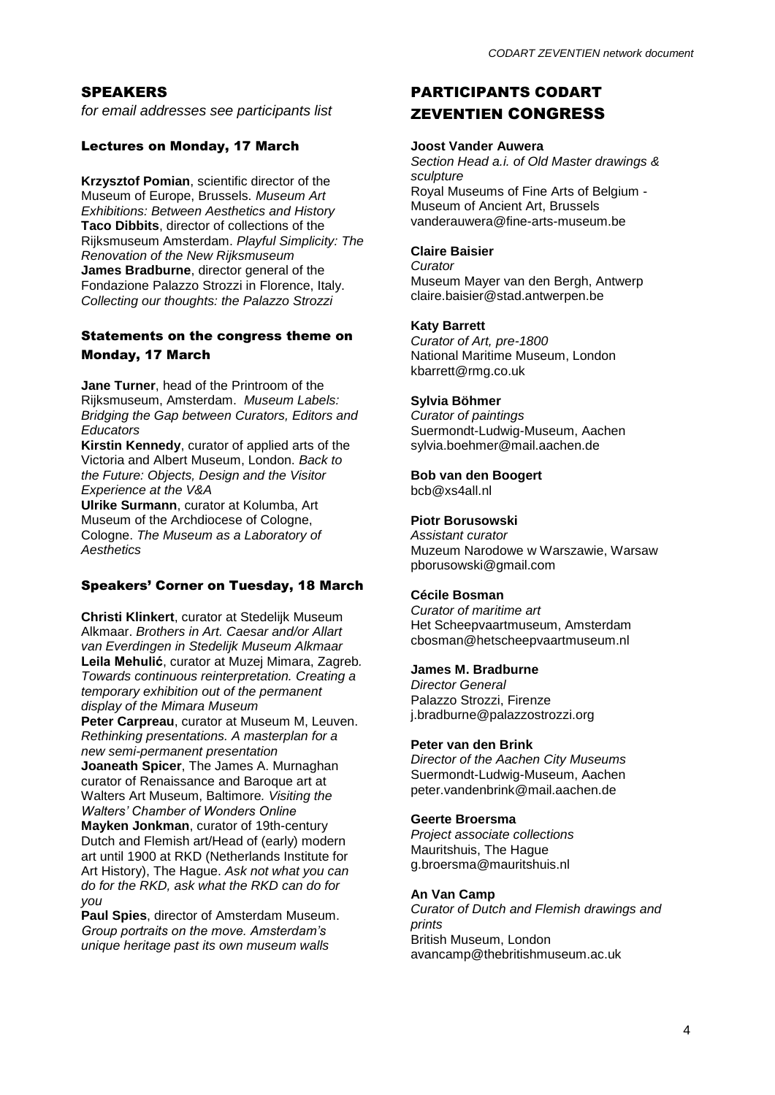# SPEAKERS

*for email addresses see participants list*

# Lectures on Monday, 17 March

**Krzysztof Pomian**, scientific director of the Museum of Europe, Brussels. *Museum Art Exhibitions: Between Aesthetics and History* **Taco Dibbits**, director of collections of the Rijksmuseum Amsterdam. *Playful Simplicity: The Renovation of the New Rijksmuseum* **James Bradburne**, director general of the Fondazione Palazzo Strozzi in Florence, Italy. *Collecting our thoughts: the Palazzo Strozzi*

## Statements on the congress theme on Monday, 17 March

**Jane Turner**, head of the Printroom of the Rijksmuseum, Amsterdam. *Museum Labels: Bridging the Gap between Curators, Editors and Educators*

**Kirstin Kennedy**, curator of applied arts of the Victoria and Albert Museum, London. *Back to the Future: Objects, Design and the Visitor Experience at the V&A*

**Ulrike Surmann**, curator at Kolumba, Art Museum of the Archdiocese of Cologne, Cologne. *The Museum as a Laboratory of Aesthetics*

# Speakers' Corner on Tuesday, 18 March

**Christi Klinkert**, curator at Stedelijk Museum Alkmaar. *Brothers in Art. Caesar and/or Allart van Everdingen in Stedelijk Museum Alkmaar* **Leila Mehulić**, curator at Muzej Mimara, Zagreb*. Towards continuous reinterpretation. Creating a temporary exhibition out of the permanent display of the Mimara Museum*

**Peter Carpreau**, curator at Museum M, Leuven. *Rethinking presentations. A masterplan for a new semi-permanent presentation*

**Joaneath Spicer**, The James A. Murnaghan curator of Renaissance and Baroque art at Walters Art Museum, Baltimore*. Visiting the Walters' Chamber of Wonders Online*

**Mayken Jonkman**, curator of 19th-century Dutch and Flemish art/Head of (early) modern art until 1900 at RKD (Netherlands Institute for Art History), The Hague. *Ask not what you can do for the RKD, ask what the RKD can do for you*

**Paul Spies**, director of Amsterdam Museum. *Group portraits on the move. Amsterdam's unique heritage past its own museum walls*

# PARTICIPANTS CODART ZEVENTIEN CONGRESS

#### **Joost Vander Auwera**

*Section Head a.i. of Old Master drawings & sculpture* Royal Museums of Fine Arts of Belgium - Museum of Ancient Art, Brussels vanderauwera@fine-arts-museum.be

# **Claire Baisier**

*Curator*

Museum Mayer van den Bergh, Antwerp claire.baisier@stad.antwerpen.be

# **Katy Barrett**

*Curator of Art, pre-1800* National Maritime Museum, London kbarrett@rmg.co.uk

## **Sylvia Böhmer**

*Curator of paintings* Suermondt-Ludwig-Museum, Aachen sylvia.boehmer@mail.aachen.de

**Bob van den Boogert**

bcb@xs4all.nl

# **Piotr Borusowski**

*Assistant curator* Muzeum Narodowe w Warszawie, Warsaw pborusowski@gmail.com

# **Cécile Bosman**

*Curator of maritime art* Het Scheepvaartmuseum, Amsterdam cbosman@hetscheepvaartmuseum.nl

## **James M. Bradburne**

*Director General* Palazzo Strozzi, Firenze j.bradburne@palazzostrozzi.org

## **Peter van den Brink**

*Director of the Aachen City Museums* Suermondt-Ludwig-Museum, Aachen peter.vandenbrink@mail.aachen.de

# **Geerte Broersma**

*Project associate collections* Mauritshuis, The Hague g.broersma@mauritshuis.nl

## **An Van Camp**

*Curator of Dutch and Flemish drawings and prints* British Museum, London avancamp@thebritishmuseum.ac.uk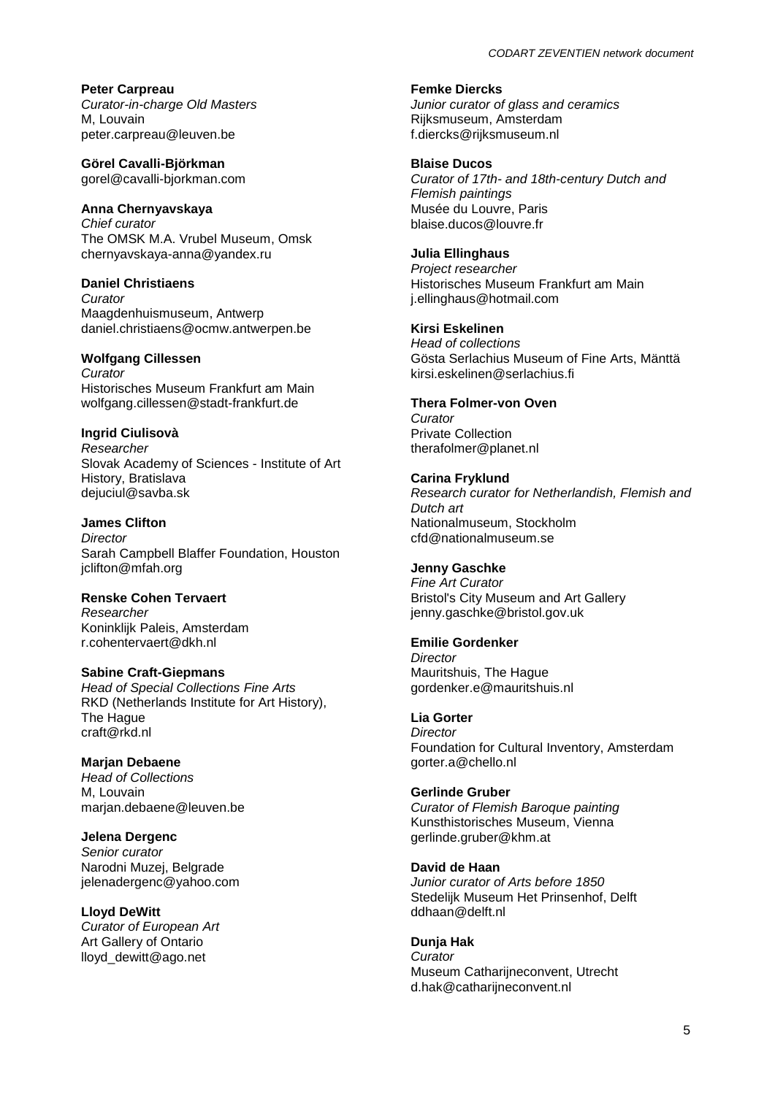**Peter Carpreau** *Curator-in-charge Old Masters* M, Louvain peter.carpreau@leuven.be

**Görel Cavalli-Björkman** gorel@cavalli-bjorkman.com

# **Anna Chernyavskaya**

*Chief curator* The OMSK M.A. Vrubel Museum, Omsk chernyavskaya-anna@yandex.ru

**Daniel Christiaens** *Curator* Maagdenhuismuseum, Antwerp daniel.christiaens@ocmw.antwerpen.be

## **Wolfgang Cillessen**

*Curator* Historisches Museum Frankfurt am Main wolfgang.cillessen@stadt-frankfurt.de

# **Ingrid Ciulisovà**

*Researcher* Slovak Academy of Sciences - Institute of Art History, Bratislava dejuciul@savba.sk

**James Clifton** *Director* Sarah Campbell Blaffer Foundation, Houston jclifton@mfah.org

#### **Renske Cohen Tervaert** *Researcher*

Koninklijk Paleis, Amsterdam r.cohentervaert@dkh.nl

## **Sabine Craft-Giepmans**

*Head of Special Collections Fine Arts* RKD (Netherlands Institute for Art History), The Hague craft@rkd.nl

## **Marjan Debaene**

*Head of Collections* M, Louvain marjan.debaene@leuven.be

## **Jelena Dergenc**

*Senior curator* Narodni Muzej, Belgrade jelenadergenc@yahoo.com

# **Lloyd DeWitt**

*Curator of European Art* Art Gallery of Ontario lloyd\_dewitt@ago.net

#### **Femke Diercks**

*Junior curator of glass and ceramics* Rijksmuseum, Amsterdam f.diercks@rijksmuseum.nl

## **Blaise Ducos**

*Curator of 17th- and 18th-century Dutch and Flemish paintings* Musée du Louvre, Paris blaise.ducos@louvre.fr

# **Julia Ellinghaus**

*Project researcher* Historisches Museum Frankfurt am Main j.ellinghaus@hotmail.com

# **Kirsi Eskelinen**

*Head of collections* Gösta Serlachius Museum of Fine Arts, Mänttä kirsi.eskelinen@serlachius.fi

# **Thera Folmer-von Oven**

*Curator* Private Collection therafolmer@planet.nl

#### **Carina Fryklund** *Research curator for Netherlandish, Flemish and Dutch art*

Nationalmuseum, Stockholm cfd@nationalmuseum.se

# **Jenny Gaschke**

*Fine Art Curator* Bristol's City Museum and Art Gallery jenny.gaschke@bristol.gov.uk

# **Emilie Gordenker**

*Director* Mauritshuis, The Hague gordenker.e@mauritshuis.nl

# **Lia Gorter**

*Director* Foundation for Cultural Inventory, Amsterdam gorter.a@chello.nl

## **Gerlinde Gruber**

*Curator of Flemish Baroque painting* Kunsthistorisches Museum, Vienna gerlinde.gruber@khm.at

## **David de Haan**

*Junior curator of Arts before 1850* Stedelijk Museum Het Prinsenhof, Delft ddhaan@delft.nl

## **Dunja Hak**

*Curator* Museum Catharijneconvent, Utrecht d.hak@catharijneconvent.nl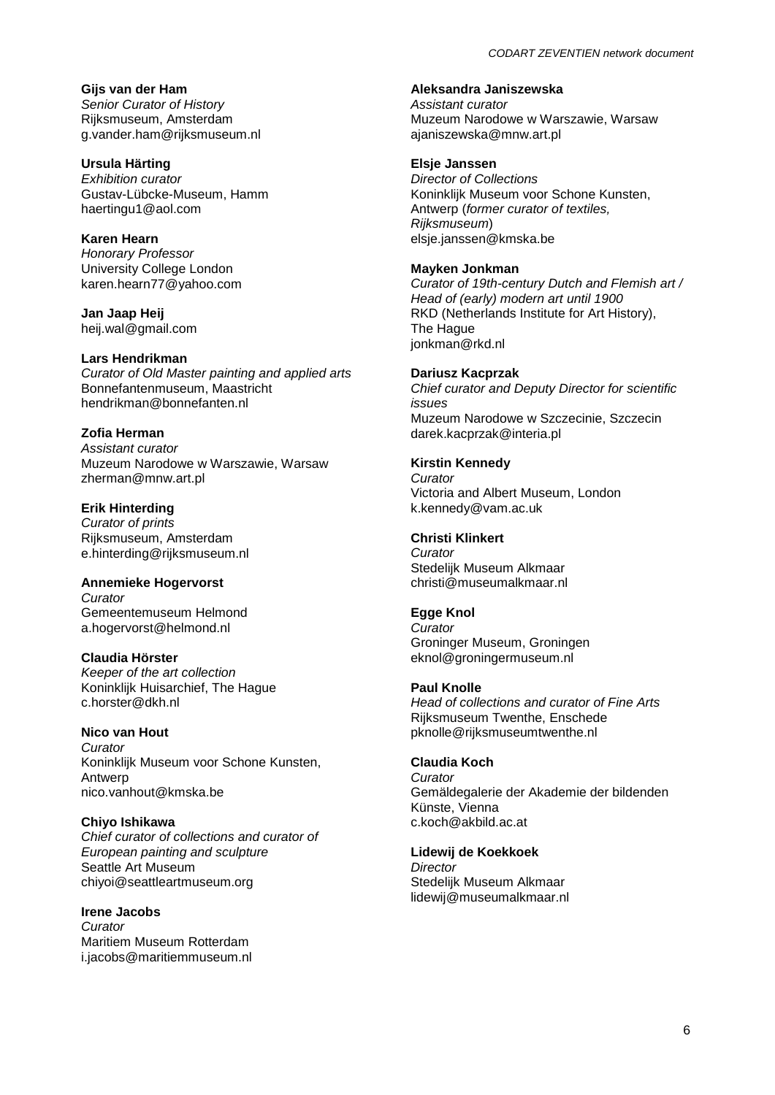**Gijs van der Ham** *Senior Curator of History* Rijksmuseum, Amsterdam g.vander.ham@rijksmuseum.nl

**Ursula Härting** *Exhibition curator* Gustav-Lübcke-Museum, Hamm haertingu1@aol.com

**Karen Hearn** *Honorary Professor* University College London karen.hearn77@yahoo.com

**Jan Jaap Heij** heij.wal@gmail.com

#### **Lars Hendrikman** *Curator of Old Master painting and applied arts* Bonnefantenmuseum, Maastricht hendrikman@bonnefanten.nl

**Zofia Herman** *Assistant curator* Muzeum Narodowe w Warszawie, Warsaw zherman@mnw.art.pl

**Erik Hinterding** *Curator of prints* Rijksmuseum, Amsterdam e.hinterding@rijksmuseum.nl

#### **Annemieke Hogervorst**

*Curator* Gemeentemuseum Helmond a.hogervorst@helmond.nl

**Claudia Hörster**

*Keeper of the art collection* Koninklijk Huisarchief, The Hague c.horster@dkh.nl

# **Nico van Hout**

*Curator* Koninklijk Museum voor Schone Kunsten, Antwerp nico.vanhout@kmska.be

**Chiyo Ishikawa**

*Chief curator of collections and curator of European painting and sculpture* Seattle Art Museum chiyoi@seattleartmuseum.org

**Irene Jacobs** *Curator* Maritiem Museum Rotterdam i.jacobs@maritiemmuseum.nl

# **Aleksandra Janiszewska**

*Assistant curator* Muzeum Narodowe w Warszawie, Warsaw ajaniszewska@mnw.art.pl

**Elsje Janssen**

*Director of Collections* Koninklijk Museum voor Schone Kunsten, Antwerp (*former curator of textiles, Rijksmuseum*) elsje.janssen@kmska.be

#### **Mayken Jonkman**

*Curator of 19th-century Dutch and Flemish art / Head of (early) modern art until 1900* RKD (Netherlands Institute for Art History), The Hague jonkman@rkd.nl

#### **Dariusz Kacprzak**

*Chief curator and Deputy Director for scientific issues* Muzeum Narodowe w Szczecinie, Szczecin darek.kacprzak@interia.pl

# **Kirstin Kennedy**

*Curator* Victoria and Albert Museum, London k.kennedy@vam.ac.uk

## **Christi Klinkert**

*Curator* Stedelijk Museum Alkmaar christi@museumalkmaar.nl

## **Egge Knol**

*Curator* Groninger Museum, Groningen eknol@groningermuseum.nl

#### **Paul Knolle**

*Head of collections and curator of Fine Arts* Rijksmuseum Twenthe, Enschede pknolle@rijksmuseumtwenthe.nl

#### **Claudia Koch**

*Curator* Gemäldegalerie der Akademie der bildenden Künste, Vienna c.koch@akbild.ac.at

#### **Lidewij de Koekkoek**

*Director* Stedelijk Museum Alkmaar lidewij@museumalkmaar.nl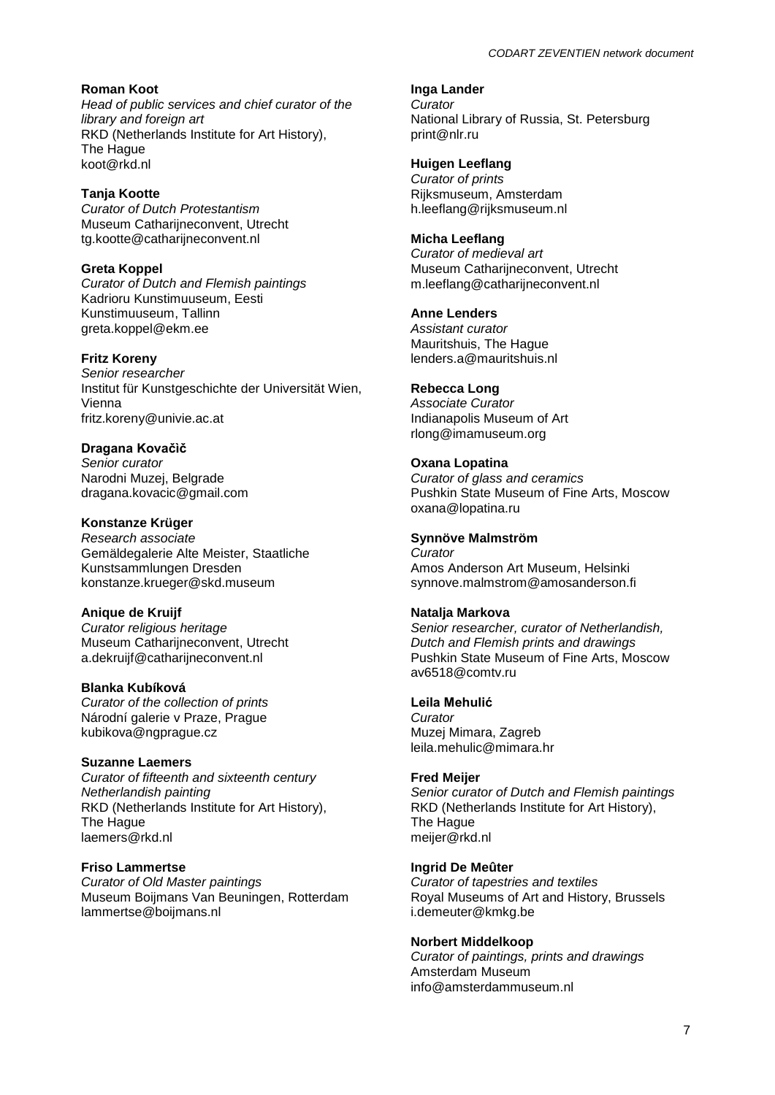## **Roman Koot**

*Head of public services and chief curator of the library and foreign art* RKD (Netherlands Institute for Art History), The Hague koot@rkd.nl

# **Tanja Kootte**

*Curator of Dutch Protestantism* Museum Catharijneconvent, Utrecht tg.kootte@catharijneconvent.nl

## **Greta Koppel**

*Curator of Dutch and Flemish paintings* Kadrioru Kunstimuuseum, Eesti Kunstimuuseum, Tallinn greta.koppel@ekm.ee

## **Fritz Koreny**

*Senior researcher* Institut für Kunstgeschichte der Universität Wien, Vienna fritz.koreny@univie.ac.at

## **Dragana Kovačìč**

*Senior curator* Narodni Muzei, Belgrade dragana.kovacic@gmail.com

# **Konstanze Krüger**

*Research associate* Gemäldegalerie Alte Meister, Staatliche Kunstsammlungen Dresden konstanze.krueger@skd.museum

## **Anique de Kruijf**

*Curator religious heritage* Museum Catharijneconvent, Utrecht a.dekruijf@catharijneconvent.nl

#### **Blanka Kubíková**

*Curator of the collection of prints* Národní galerie v Praze, Prague kubikova@ngprague.cz

#### **Suzanne Laemers**

*Curator of fifteenth and sixteenth century Netherlandish painting* RKD (Netherlands Institute for Art History), The Hague laemers@rkd.nl

## **Friso Lammertse**

*Curator of Old Master paintings* Museum Boijmans Van Beuningen, Rotterdam lammertse@boijmans.nl

**Inga Lander** *Curator* National Library of Russia, St. Petersburg print@nlr.ru

#### **Huigen Leeflang**

*Curator of prints* Rijksmuseum, Amsterdam h.leeflang@rijksmuseum.nl

#### **Micha Leeflang**

*Curator of medieval art* Museum Catharijneconvent, Utrecht m.leeflang@catharijneconvent.nl

#### **Anne Lenders**

*Assistant curator* Mauritshuis, The Hague lenders.a@mauritshuis.nl

# **Rebecca Long**

*Associate Curator* Indianapolis Museum of Art rlong@imamuseum.org

## **Oxana Lopatina**

*Curator of glass and ceramics* Pushkin State Museum of Fine Arts, Moscow oxana@lopatina.ru

#### **Synnöve Malmström**

*Curator* Amos Anderson Art Museum, Helsinki synnove.malmstrom@amosanderson.fi

#### **Natalja Markova**

*Senior researcher, curator of Netherlandish, Dutch and Flemish prints and drawings* Pushkin State Museum of Fine Arts, Moscow av6518@comtv.ru

#### **Leila Mehulić**

*Curator* Muzej Mimara, Zagreb leila.mehulic@mimara.hr

#### **Fred Meijer**

*Senior curator of Dutch and Flemish paintings*  RKD (Netherlands Institute for Art History), The Hague meijer@rkd.nl

## **Ingrid De Meûter**

*Curator of tapestries and textiles* Royal Museums of Art and History, Brussels i.demeuter@kmkg.be

#### **Norbert Middelkoop**

*Curator of paintings, prints and drawings* Amsterdam Museum info@amsterdammuseum.nl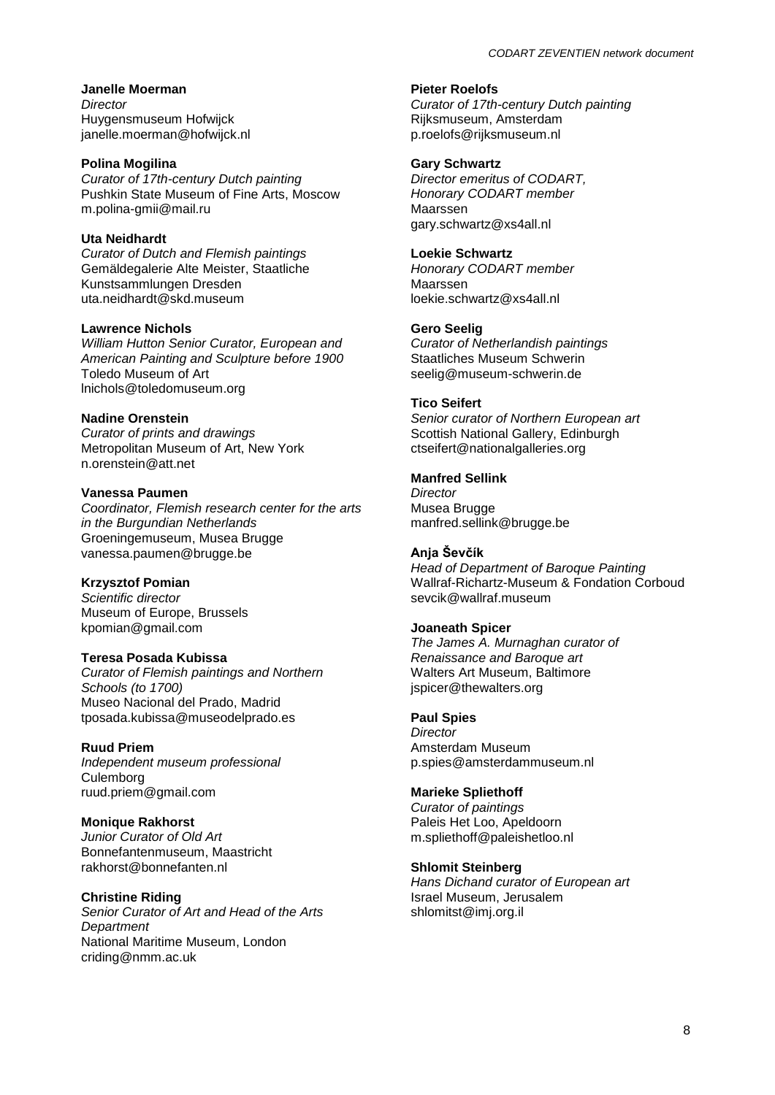**Janelle Moerman** *Director* Huygensmuseum Hofwijck janelle.moerman@hofwijck.nl

#### **Polina Mogilina**

*Curator of 17th-century Dutch painting* Pushkin State Museum of Fine Arts, Moscow m.polina-gmii@mail.ru

## **Uta Neidhardt**

*Curator of Dutch and Flemish paintings* Gemäldegalerie Alte Meister, Staatliche Kunstsammlungen Dresden uta.neidhardt@skd.museum

#### **Lawrence Nichols**

*William Hutton Senior Curator, European and American Painting and Sculpture before 1900* Toledo Museum of Art lnichols@toledomuseum.org

#### **Nadine Orenstein**

*Curator of prints and drawings* Metropolitan Museum of Art, New York n.orenstein@att.net

## **Vanessa Paumen**

*Coordinator, Flemish research center for the arts in the Burgundian Netherlands* Groeningemuseum, Musea Brugge vanessa.paumen@brugge.be

## **Krzysztof Pomian**

*Scientific director* Museum of Europe, Brussels kpomian@gmail.com

## **Teresa Posada Kubissa**

*Curator of Flemish paintings and Northern Schools (to 1700)* Museo Nacional del Prado, Madrid tposada.kubissa@museodelprado.es

#### **Ruud Priem**

*Independent museum professional* **Culemborg** ruud.priem@gmail.com

# **Monique Rakhorst**

*Junior Curator of Old Art* Bonnefantenmuseum, Maastricht rakhorst@bonnefanten.nl

#### **Christine Riding**

*Senior Curator of Art and Head of the Arts Department* National Maritime Museum, London criding@nmm.ac.uk

#### **Pieter Roelofs**

*Curator of 17th-century Dutch painting* Rijksmuseum, Amsterdam p.roelofs@rijksmuseum.nl

#### **Gary Schwartz**

*Director emeritus of CODART, Honorary CODART member* Maarssen gary.schwartz@xs4all.nl

#### **Loekie Schwartz**

*Honorary CODART member* Maarssen loekie.schwartz@xs4all.nl

#### **Gero Seelig**

*Curator of Netherlandish paintings* Staatliches Museum Schwerin seelig@museum-schwerin.de

#### **Tico Seifert**

*Senior curator of Northern European art* Scottish National Gallery, Edinburgh ctseifert@nationalgalleries.org

#### **Manfred Sellink**

*Director* Musea Brugge manfred.sellink@brugge.be

#### **Anja Ševčík**

*Head of Department of Baroque Painting* Wallraf-Richartz-Museum & Fondation Corboud sevcik@wallraf.museum

#### **Joaneath Spicer**

*The James A. Murnaghan curator of Renaissance and Baroque art* Walters Art Museum, Baltimore jspicer@thewalters.org

#### **Paul Spies**

*Director* Amsterdam Museum p.spies@amsterdammuseum.nl

## **Marieke Spliethoff**

*Curator of paintings* Paleis Het Loo, Apeldoorn m.spliethoff@paleishetloo.nl

#### **Shlomit Steinberg**

*Hans Dichand curator of European art* Israel Museum, Jerusalem shlomitst@imj.org.il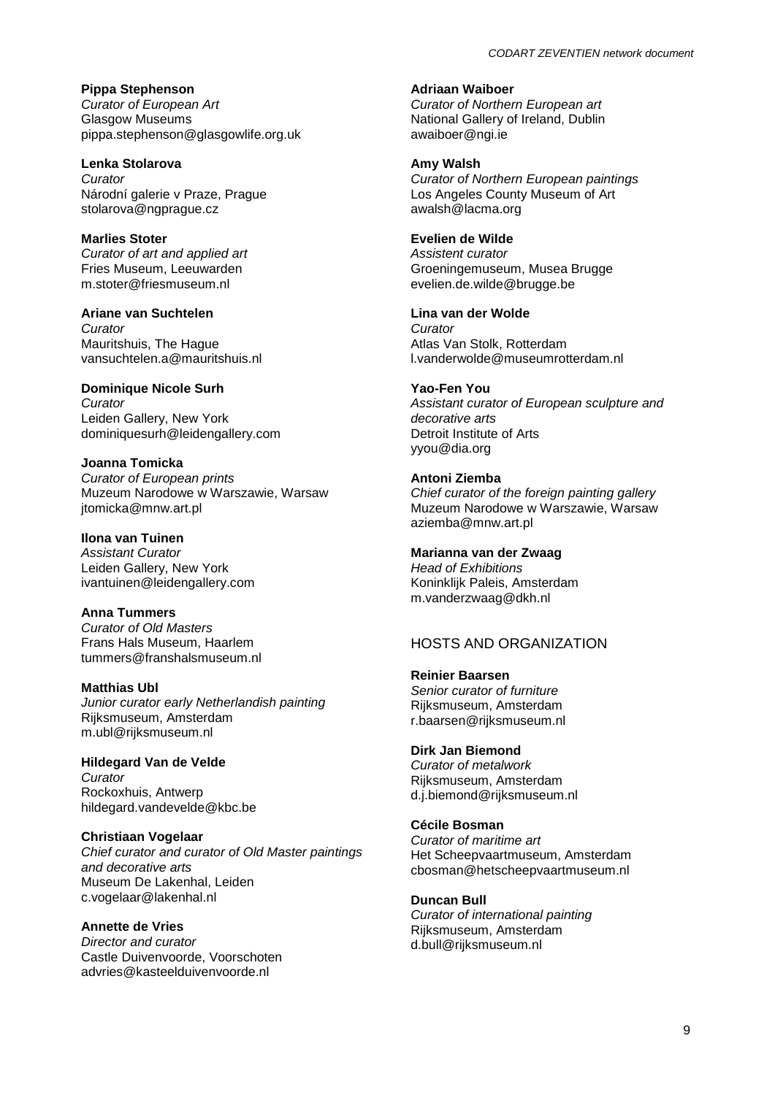**Pippa Stephenson** *Curator of European Art* Glasgow Museums pippa.stephenson@glasgowlife.org.uk

**Lenka Stolarova** *Curator* Národní galerie v Praze, Prague stolarova@ngprague.cz

**Marlies Stoter** *Curator of art and applied art* Fries Museum, Leeuwarden m.stoter@friesmuseum.nl

**Ariane van Suchtelen** *Curator* Mauritshuis, The Hague vansuchtelen.a@mauritshuis.nl

**Dominique Nicole Surh** *Curator* Leiden Gallery, New York dominiquesurh@leidengallery.com

**Joanna Tomicka** *Curator of European prints* Muzeum Narodowe w Warszawie, Warsaw jtomicka@mnw.art.pl

**Ilona van Tuinen** *Assistant Curator* Leiden Gallery, New York ivantuinen@leidengallery.com

**Anna Tummers** *Curator of Old Masters* Frans Hals Museum, Haarlem tummers@franshalsmuseum.nl

**Matthias Ubl** *Junior curator early Netherlandish painting* Rijksmuseum, Amsterdam m.ubl@rijksmuseum.nl

**Hildegard Van de Velde** *Curator* Rockoxhuis, Antwerp hildegard.vandevelde@kbc.be

**Christiaan Vogelaar** *Chief curator and curator of Old Master paintings and decorative arts* Museum De Lakenhal, Leiden c.vogelaar@lakenhal.nl

**Annette de Vries** *Director and curator* Castle Duivenvoorde, Voorschoten advries@kasteelduivenvoorde.nl

**Adriaan Waiboer**

*Curator of Northern European art* National Gallery of Ireland, Dublin awaiboer@ngi.ie

**Amy Walsh** *Curator of Northern European paintings* Los Angeles County Museum of Art awalsh@lacma.org

**Evelien de Wilde**

*Assistent curator* Groeningemuseum, Musea Brugge evelien.de.wilde@brugge.be

**Lina van der Wolde** *Curator* Atlas Van Stolk, Rotterdam l.vanderwolde@museumrotterdam.nl

**Yao-Fen You** *Assistant curator of European sculpture and decorative arts* Detroit Institute of Arts yyou@dia.org

**Antoni Ziemba** *Chief curator of the foreign painting gallery* Muzeum Narodowe w Warszawie, Warsaw aziemba@mnw.art.pl

**Marianna van der Zwaag** *Head of Exhibitions* Koninklijk Paleis, Amsterdam m.vanderzwaag@dkh.nl

HOSTS AND ORGANIZATION

**Reinier Baarsen**  *Senior curator of furniture* Rijksmuseum, Amsterdam r.baarsen@rijksmuseum.nl

**Dirk Jan Biemond** *Curator of metalwork* Rijksmuseum, Amsterdam d.j.biemond@rijksmuseum.nl

**Cécile Bosman** *Curator of maritime art* Het Scheepvaartmuseum, Amsterdam cbosman@hetscheepvaartmuseum.nl

**Duncan Bull**  *Curator of international painting* Rijksmuseum, Amsterdam d.bull@rijksmuseum.nl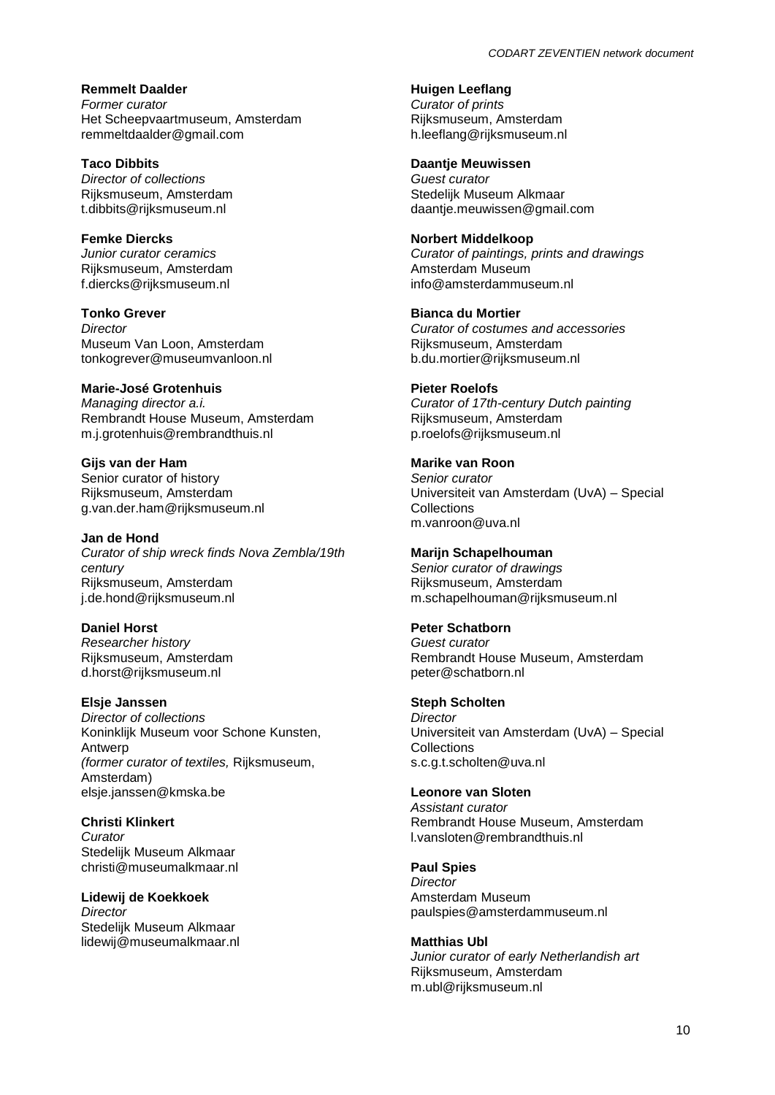**Remmelt Daalder** *Former curator* Het Scheepvaartmuseum, Amsterdam remmeltdaalder@gmail.com

**Taco Dibbits** *Director of collections* Rijksmuseum, Amsterdam t.dibbits@rijksmuseum.nl

**Femke Diercks** *Junior curator ceramics* Rijksmuseum, Amsterdam f.diercks@rijksmuseum.nl

**Tonko Grever** *Director* Museum Van Loon, Amsterdam tonkogrever@museumvanloon.nl

## **Marie-José Grotenhuis**

*Managing director a.i.* Rembrandt House Museum, Amsterdam m.j.grotenhuis@rembrandthuis.nl

**Gijs van der Ham**  Senior curator of history Rijksmuseum, Amsterdam g.van.der.ham@rijksmuseum.nl

## **Jan de Hond**

*Curator of ship wreck finds Nova Zembla/19th century* Rijksmuseum, Amsterdam j.de.hond@rijksmuseum.nl

#### **Daniel Horst**

*Researcher history* Rijksmuseum, Amsterdam d.horst@rijksmuseum.nl

## **Elsje Janssen**

*Director of collections* Koninklijk Museum voor Schone Kunsten, Antwerp *(former curator of textiles,* Rijksmuseum, Amsterdam) elsje.janssen@kmska.be

**Christi Klinkert** *Curator* Stedelijk Museum Alkmaar christi@museumalkmaar.nl

## **Lidewij de Koekkoek**

*Director* Stedelijk Museum Alkmaar lidewij@museumalkmaar.nl **Huigen Leeflang** *Curator of prints* Rijksmuseum, Amsterdam h.leeflang@rijksmuseum.nl

#### **Daantje Meuwissen**

*Guest curator* Stedelijk Museum Alkmaar daantje.meuwissen@gmail.com

#### **Norbert Middelkoop**

*Curator of paintings, prints and drawings* Amsterdam Museum info@amsterdammuseum.nl

## **Bianca du Mortier**

*Curator of costumes and accessories* Rijksmuseum, Amsterdam b.du.mortier@rijksmuseum.nl

#### **Pieter Roelofs**

*Curator of 17th-century Dutch painting* Rijksmuseum, Amsterdam p.roelofs@rijksmuseum.nl

#### **Marike van Roon**

*Senior curator*  Universiteit van Amsterdam (UvA) – Special **Collections** m.vanroon@uva.nl

#### **Marijn Schapelhouman**

*Senior curator of drawings* Rijksmuseum, Amsterdam m.schapelhouman@rijksmuseum.nl

#### **Peter Schatborn**

*Guest curator*  Rembrandt House Museum, Amsterdam peter@schatborn.nl

#### **Steph Scholten**

*Director* Universiteit van Amsterdam (UvA) – Special **Collections** s.c.g.t.scholten@uva.nl

#### **Leonore van Sloten**

*Assistant curator* Rembrandt House Museum, Amsterdam l.vansloten@rembrandthuis.nl

## **Paul Spies**

*Director* Amsterdam Museum paulspies@amsterdammuseum.nl

#### **Matthias Ubl**

*Junior curator of early Netherlandish art* Rijksmuseum, Amsterdam m.ubl@rijksmuseum.nl